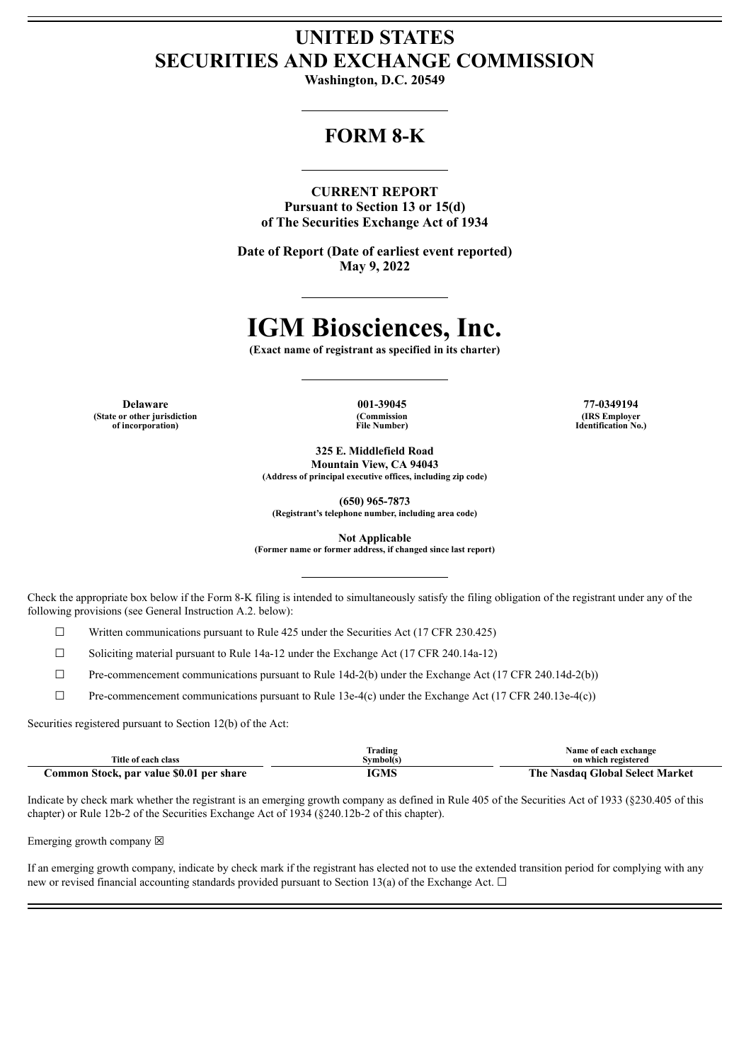# **UNITED STATES SECURITIES AND EXCHANGE COMMISSION**

**Washington, D.C. 20549**

## **FORM 8-K**

**CURRENT REPORT Pursuant to Section 13 or 15(d) of The Securities Exchange Act of 1934**

**Date of Report (Date of earliest event reported) May 9, 2022**

# **IGM Biosciences, Inc.**

**(Exact name of registrant as specified in its charter)**

**(State or other jurisdiction of incorporation)**

**(Commission File Number)**

**Delaware 001-39045 77-0349194 (IRS Employer Identification No.)**

**325 E. Middlefield Road**

**Mountain View, CA 94043 (Address of principal executive offices, including zip code)**

**(650) 965-7873**

**(Registrant's telephone number, including area code)**

**Not Applicable**

**(Former name or former address, if changed since last report)**

Check the appropriate box below if the Form 8-K filing is intended to simultaneously satisfy the filing obligation of the registrant under any of the following provisions (see General Instruction A.2. below):

 $\Box$  Written communications pursuant to Rule 425 under the Securities Act (17 CFR 230.425)

 $\Box$  Soliciting material pursuant to Rule 14a-12 under the Exchange Act (17 CFR 240.14a-12)

 $\Box$  Pre-commencement communications pursuant to Rule 14d-2(b) under the Exchange Act (17 CFR 240.14d-2(b))

☐ Pre-commencement communications pursuant to Rule 13e-4(c) under the Exchange Act (17 CFR 240.13e-4(c))

Securities registered pursuant to Section 12(b) of the Act:

|                                          | Trading   | Name of each exchange           |
|------------------------------------------|-----------|---------------------------------|
| Title of each class                      | Svmbol(s` | on which registered             |
| Common Stock, par value \$0.01 per share | IGMS      | The Nasdag Global Select Market |

Indicate by check mark whether the registrant is an emerging growth company as defined in Rule 405 of the Securities Act of 1933 (§230.405 of this chapter) or Rule 12b-2 of the Securities Exchange Act of 1934 (§240.12b-2 of this chapter).

Emerging growth company  $\boxtimes$ 

If an emerging growth company, indicate by check mark if the registrant has elected not to use the extended transition period for complying with any new or revised financial accounting standards provided pursuant to Section 13(a) of the Exchange Act.  $\Box$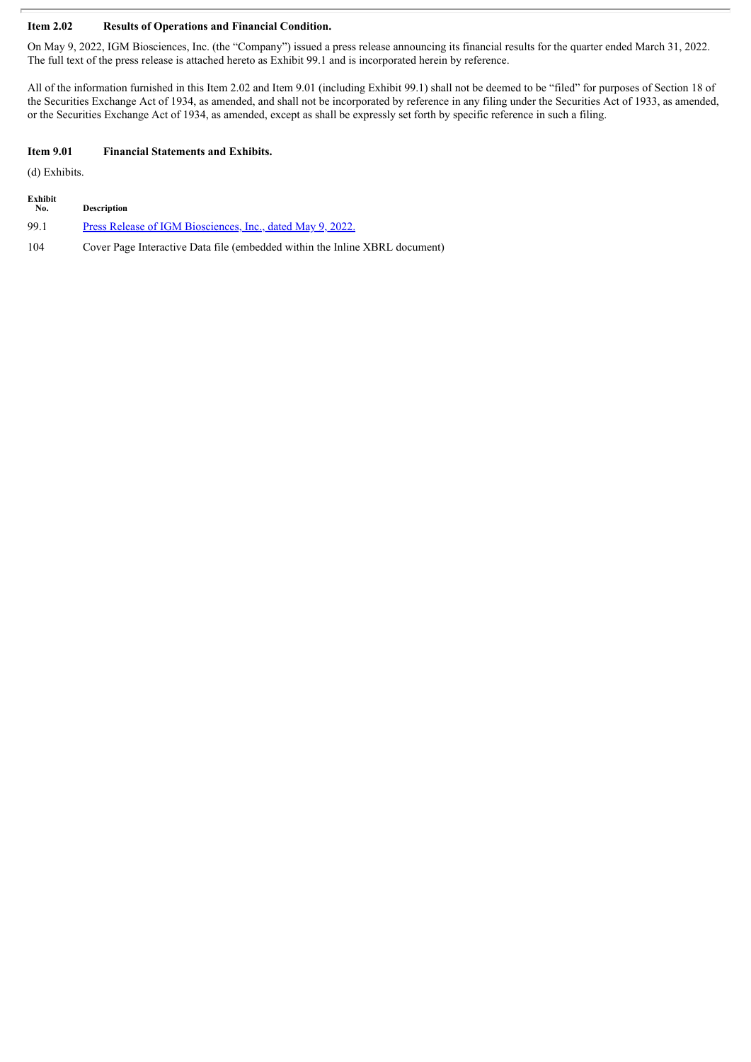#### **Item 2.02 Results of Operations and Financial Condition.**

On May 9, 2022, IGM Biosciences, Inc. (the "Company") issued a press release announcing its financial results for the quarter ended March 31, 2022. The full text of the press release is attached hereto as Exhibit 99.1 and is incorporated herein by reference.

All of the information furnished in this Item 2.02 and Item 9.01 (including Exhibit 99.1) shall not be deemed to be "filed" for purposes of Section 18 of the Securities Exchange Act of 1934, as amended, and shall not be incorporated by reference in any filing under the Securities Act of 1933, as amended, or the Securities Exchange Act of 1934, as amended, except as shall be expressly set forth by specific reference in such a filing.

#### **Item 9.01 Financial Statements and Exhibits.**

(d) Exhibits.

| Exhibit<br>No. | <b>Description</b>                                                          |
|----------------|-----------------------------------------------------------------------------|
| 99.1           | Press Release of IGM Biosciences, Inc., dated May 9, 2022.                  |
| 104            | Cover Page Interactive Data file (embedded within the Inline XBRL document) |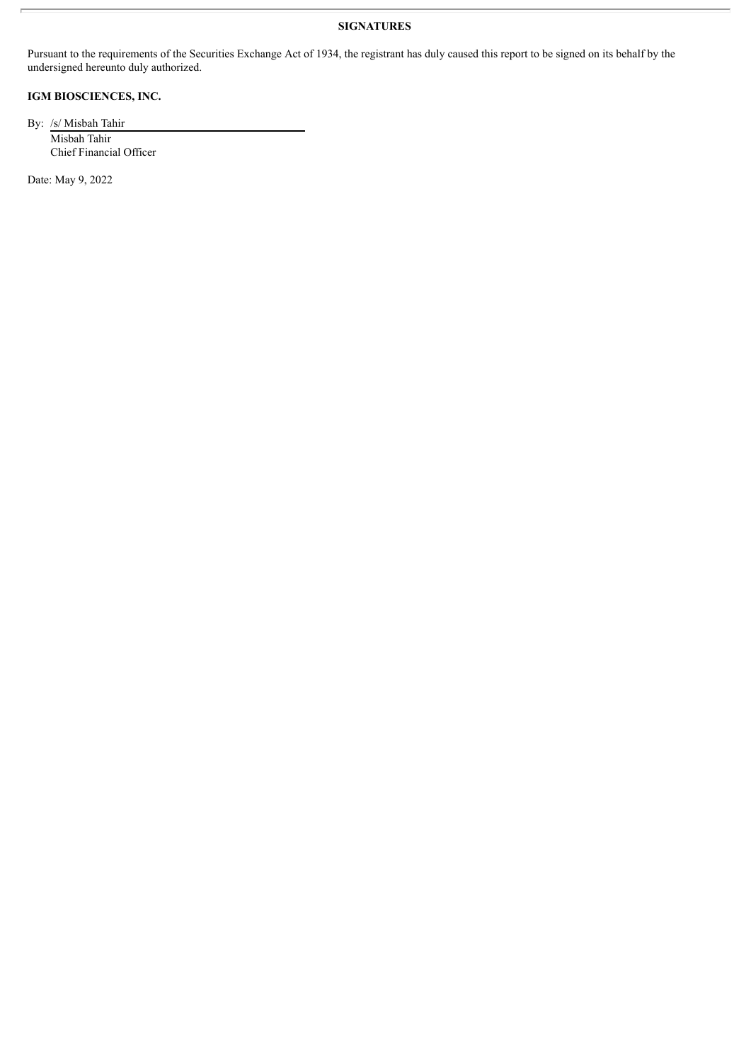### **SIGNATURES**

Pursuant to the requirements of the Securities Exchange Act of 1934, the registrant has duly caused this report to be signed on its behalf by the undersigned hereunto duly authorized.

## **IGM BIOSCIENCES, INC.**

By: /s/ Misbah Tahir Misbah Tahir Chief Financial Officer

Date: May 9, 2022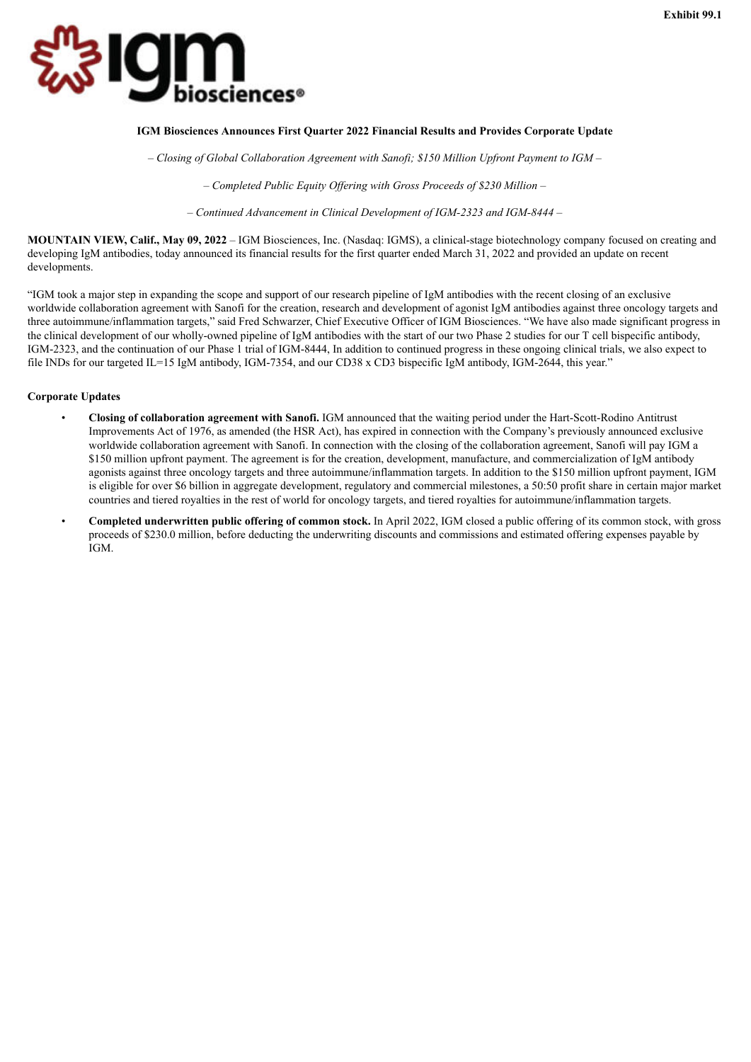<span id="page-3-0"></span>

#### **IGM Biosciences Announces First Quarter 2022 Financial Results and Provides Corporate Update**

*– Closing of Global Collaboration Agreement with Sanofi; \$150 Million Upfront Payment to IGM –*

*– Completed Public Equity Of ering with Gross Proceeds of \$230 Million –*

*– Continued Advancement in Clinical Development of IGM-2323 and IGM-8444 –*

**MOUNTAIN VIEW, Calif., May 09, 2022** – IGM Biosciences, Inc. (Nasdaq: IGMS), a clinical-stage biotechnology company focused on creating and developing IgM antibodies, today announced its financial results for the first quarter ended March 31, 2022 and provided an update on recent developments.

"IGM took a major step in expanding the scope and support of our research pipeline of IgM antibodies with the recent closing of an exclusive worldwide collaboration agreement with Sanofi for the creation, research and development of agonist IgM antibodies against three oncology targets and three autoimmune/inflammation targets," said Fred Schwarzer, Chief Executive Officer of IGM Biosciences. "We have also made significant progress in the clinical development of our wholly-owned pipeline of IgM antibodies with the start of our two Phase 2 studies for our T cell bispecific antibody, IGM-2323, and the continuation of our Phase 1 trial of IGM-8444, In addition to continued progress in these ongoing clinical trials, we also expect to file INDs for our targeted IL=15 IgM antibody, IGM-7354, and our CD38 x CD3 bispecific IgM antibody, IGM-2644, this year."

#### **Corporate Updates**

- **Closing of collaboration agreement with Sanofi.** IGM announced that the waiting period under the Hart-Scott-Rodino Antitrust Improvements Act of 1976, as amended (the HSR Act), has expired in connection with the Company's previously announced exclusive worldwide collaboration agreement with Sanofi. In connection with the closing of the collaboration agreement, Sanofi will pay IGM a \$150 million upfront payment. The agreement is for the creation, development, manufacture, and commercialization of IgM antibody agonists against three oncology targets and three autoimmune/inflammation targets. In addition to the \$150 million upfront payment, IGM is eligible for over \$6 billion in aggregate development, regulatory and commercial milestones, a 50:50 profit share in certain major market countries and tiered royalties in the rest of world for oncology targets, and tiered royalties for autoimmune/inflammation targets.
- **Completed underwritten public offering of common stock.** In April 2022, IGM closed a public offering of its common stock, with gross proceeds of \$230.0 million, before deducting the underwriting discounts and commissions and estimated offering expenses payable by IGM.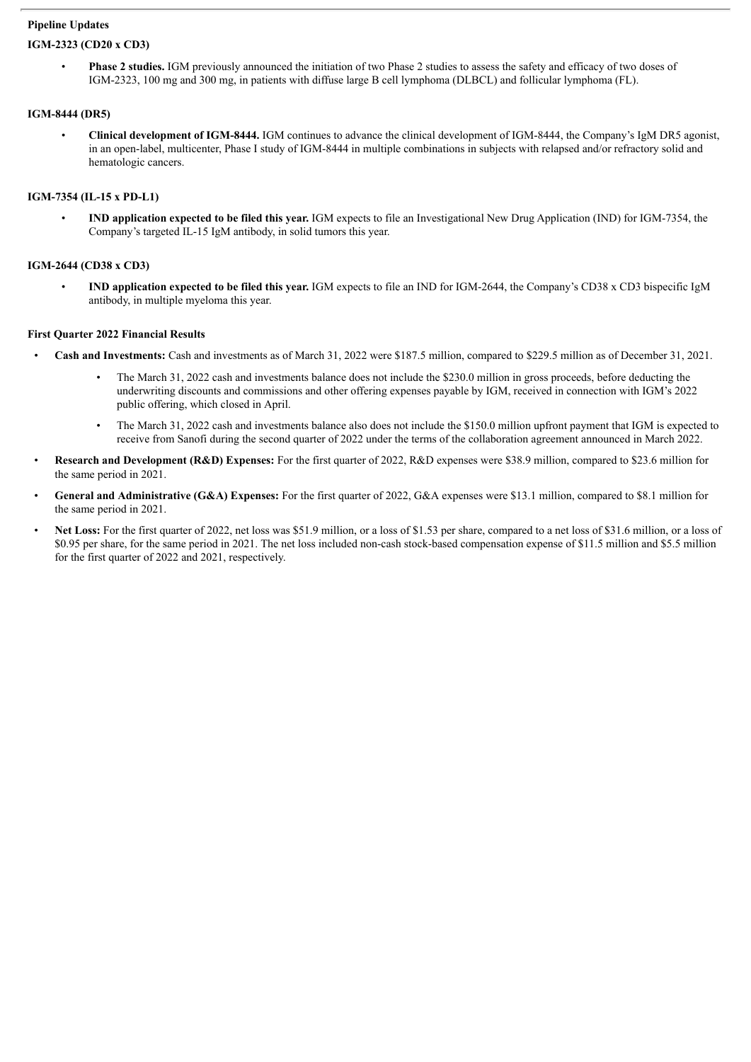#### **Pipeline Updates**

#### **IGM-2323 (CD20 x CD3)**

• **Phase 2 studies.** IGM previously announced the initiation of two Phase 2 studies to assess the safety and efficacy of two doses of IGM-2323, 100 mg and 300 mg, in patients with diffuse large B cell lymphoma (DLBCL) and follicular lymphoma (FL).

#### **IGM-8444 (DR5)**

• **Clinical development of IGM-8444.** IGM continues to advance the clinical development of IGM-8444, the Company's IgM DR5 agonist, in an open-label, multicenter, Phase I study of IGM-8444 in multiple combinations in subjects with relapsed and/or refractory solid and hematologic cancers.

#### **IGM-7354 (IL-15 x PD-L1)**

• **IND application expected to be filed this year.** IGM expects to file an Investigational New Drug Application (IND) for IGM-7354, the Company's targeted IL-15 IgM antibody, in solid tumors this year.

#### **IGM-2644 (CD38 x CD3)**

• **IND application expected to be filed this year.** IGM expects to file an IND for IGM-2644, the Company's CD38 x CD3 bispecific IgM antibody, in multiple myeloma this year.

#### **First Quarter 2022 Financial Results**

- **Cash and Investments:** Cash and investments as of March 31, 2022 were \$187.5 million, compared to \$229.5 million as of December 31, 2021.
	- The March 31, 2022 cash and investments balance does not include the \$230.0 million in gross proceeds, before deducting the underwriting discounts and commissions and other offering expenses payable by IGM, received in connection with IGM's 2022 public offering, which closed in April.
	- The March 31, 2022 cash and investments balance also does not include the \$150.0 million upfront payment that IGM is expected to receive from Sanofi during the second quarter of 2022 under the terms of the collaboration agreement announced in March 2022.
- **Research and Development (R&D) Expenses:** For the first quarter of 2022, R&D expenses were \$38.9 million, compared to \$23.6 million for the same period in 2021.
- **General and Administrative (G&A) Expenses:** For the first quarter of 2022, G&A expenses were \$13.1 million, compared to \$8.1 million for the same period in 2021.
- Net Loss: For the first quarter of 2022, net loss was \$51.9 million, or a loss of \$1.53 per share, compared to a net loss of \$31.6 million, or a loss of \$0.95 per share, for the same period in 2021. The net loss included non-cash stock-based compensation expense of \$11.5 million and \$5.5 million for the first quarter of 2022 and 2021, respectively.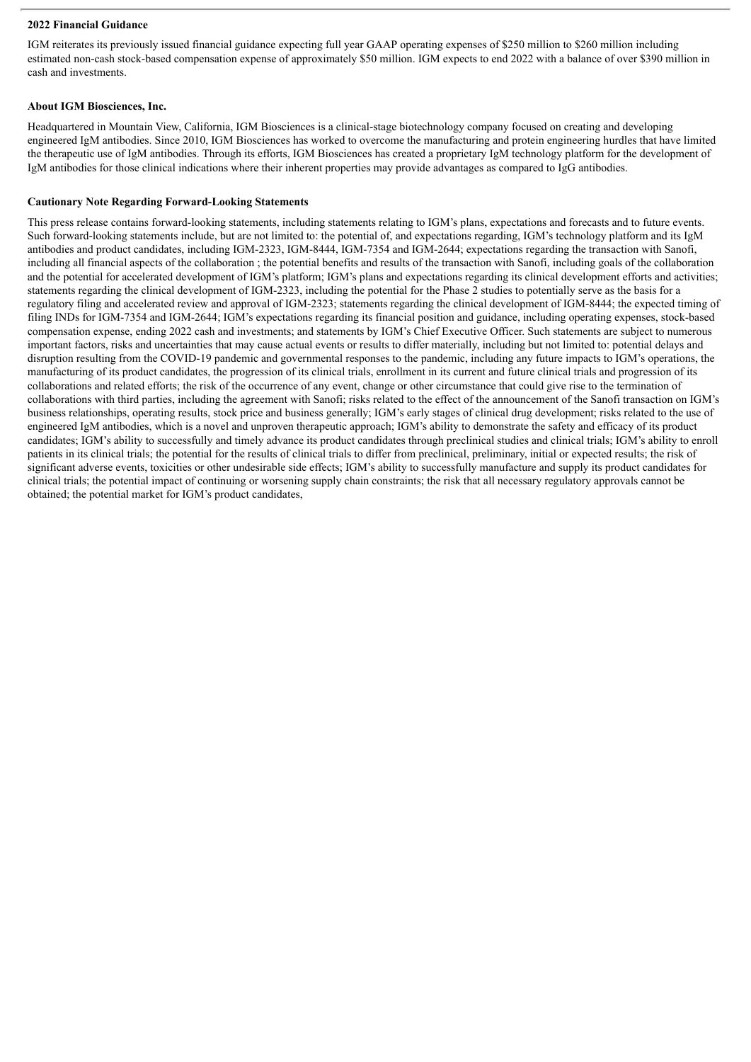#### **2022 Financial Guidance**

IGM reiterates its previously issued financial guidance expecting full year GAAP operating expenses of \$250 million to \$260 million including estimated non-cash stock-based compensation expense of approximately \$50 million. IGM expects to end 2022 with a balance of over \$390 million in cash and investments.

#### **About IGM Biosciences, Inc.**

Headquartered in Mountain View, California, IGM Biosciences is a clinical-stage biotechnology company focused on creating and developing engineered IgM antibodies. Since 2010, IGM Biosciences has worked to overcome the manufacturing and protein engineering hurdles that have limited the therapeutic use of IgM antibodies. Through its efforts, IGM Biosciences has created a proprietary IgM technology platform for the development of IgM antibodies for those clinical indications where their inherent properties may provide advantages as compared to IgG antibodies.

#### **Cautionary Note Regarding Forward-Looking Statements**

This press release contains forward-looking statements, including statements relating to IGM's plans, expectations and forecasts and to future events. Such forward-looking statements include, but are not limited to: the potential of, and expectations regarding, IGM's technology platform and its IgM antibodies and product candidates, including IGM-2323, IGM-8444, IGM-7354 and IGM-2644; expectations regarding the transaction with Sanofi, including all financial aspects of the collaboration ; the potential benefits and results of the transaction with Sanofi, including goals of the collaboration and the potential for accelerated development of IGM's platform; IGM's plans and expectations regarding its clinical development efforts and activities; statements regarding the clinical development of IGM-2323, including the potential for the Phase 2 studies to potentially serve as the basis for a regulatory filing and accelerated review and approval of IGM-2323; statements regarding the clinical development of IGM-8444; the expected timing of filing INDs for IGM-7354 and IGM-2644; IGM's expectations regarding its financial position and guidance, including operating expenses, stock-based compensation expense, ending 2022 cash and investments; and statements by IGM's Chief Executive Officer. Such statements are subject to numerous important factors, risks and uncertainties that may cause actual events or results to differ materially, including but not limited to: potential delays and disruption resulting from the COVID-19 pandemic and governmental responses to the pandemic, including any future impacts to IGM's operations, the manufacturing of its product candidates, the progression of its clinical trials, enrollment in its current and future clinical trials and progression of its collaborations and related efforts; the risk of the occurrence of any event, change or other circumstance that could give rise to the termination of collaborations with third parties, including the agreement with Sanofi; risks related to the effect of the announcement of the Sanofi transaction on IGM's business relationships, operating results, stock price and business generally; IGM's early stages of clinical drug development; risks related to the use of engineered IgM antibodies, which is a novel and unproven therapeutic approach; IGM's ability to demonstrate the safety and efficacy of its product candidates; IGM's ability to successfully and timely advance its product candidates through preclinical studies and clinical trials; IGM's ability to enroll patients in its clinical trials; the potential for the results of clinical trials to differ from preclinical, preliminary, initial or expected results; the risk of significant adverse events, toxicities or other undesirable side effects; IGM's ability to successfully manufacture and supply its product candidates for clinical trials; the potential impact of continuing or worsening supply chain constraints; the risk that all necessary regulatory approvals cannot be obtained; the potential market for IGM's product candidates,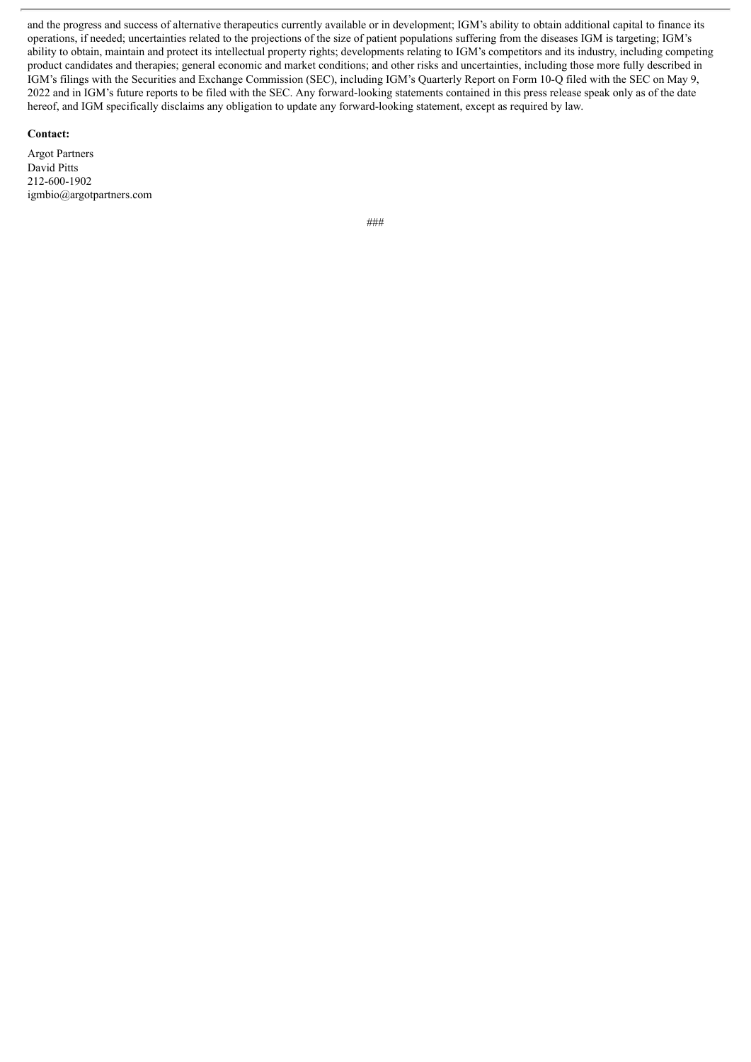and the progress and success of alternative therapeutics currently available or in development; IGM's ability to obtain additional capital to finance its operations, if needed; uncertainties related to the projections of the size of patient populations suffering from the diseases IGM is targeting; IGM's ability to obtain, maintain and protect its intellectual property rights; developments relating to IGM's competitors and its industry, including competing product candidates and therapies; general economic and market conditions; and other risks and uncertainties, including those more fully described in IGM's filings with the Securities and Exchange Commission (SEC), including IGM's Quarterly Report on Form 10-Q filed with the SEC on May 9, 2022 and in IGM's future reports to be filed with the SEC. Any forward-looking statements contained in this press release speak only as of the date hereof, and IGM specifically disclaims any obligation to update any forward-looking statement, except as required by law.

#### **Contact:**

Argot Partners David Pitts 212-600-1902 igmbio@argotpartners.com

*###*